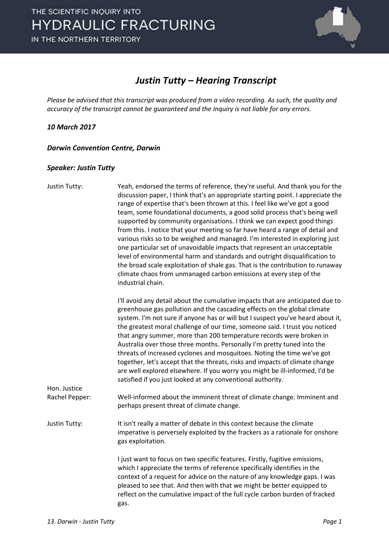

#### *Justin Tutty – Hearing Transcript*

*Please be advised that this transcript was produced from a video recording. As such, the quality and accuracy of the transcript cannot be guaranteed and the Inquiry is not liable for any errors.*

#### *10 March 2017*

*Darwin Convention Centre, Darwin* 

#### *Speaker: Justin Tutty*

| Yeah, endorsed the terms of reference, they're useful. And thank you for the<br>discussion paper, I think that's an appropriate starting point. I appreciate the<br>range of expertise that's been thrown at this. I feel like we've got a good<br>team, some foundational documents, a good solid process that's being well<br>supported by community organisations. I think we can expect good things<br>from this. I notice that your meeting so far have heard a range of detail and<br>various risks so to be weighed and managed. I'm interested in exploring just<br>one particular set of unavoidable impacts that represent an unacceptable<br>level of environmental harm and standards and outright disqualification to<br>the broad scale exploitation of shale gas. That is the contribution to runaway<br>climate chaos from unmanaged carbon emissions at every step of the<br>industrial chain. |
|-----------------------------------------------------------------------------------------------------------------------------------------------------------------------------------------------------------------------------------------------------------------------------------------------------------------------------------------------------------------------------------------------------------------------------------------------------------------------------------------------------------------------------------------------------------------------------------------------------------------------------------------------------------------------------------------------------------------------------------------------------------------------------------------------------------------------------------------------------------------------------------------------------------------|
| I'll avoid any detail about the cumulative impacts that are anticipated due to<br>greenhouse gas pollution and the cascading effects on the global climate<br>system. I'm not sure if anyone has or will but I suspect you've heard about it,<br>the greatest moral challenge of our time, someone said. I trust you noticed<br>that angry summer, more than 200 temperature records were broken in<br>Australia over those three months. Personally I'm pretty tuned into the<br>threats of increased cyclones and mosquitoes. Noting the time we've got<br>together, let's accept that the threats, risks and impacts of climate change<br>are well explored elsewhere. If you worry you might be ill-informed, I'd be<br>satisfied if you just looked at any conventional authority.                                                                                                                         |
| Well-informed about the imminent threat of climate change. Imminent and<br>perhaps present threat of climate change.                                                                                                                                                                                                                                                                                                                                                                                                                                                                                                                                                                                                                                                                                                                                                                                            |
| It isn't really a matter of debate in this context because the climate<br>imperative is perversely exploited by the frackers as a rationale for onshore<br>gas exploitation.                                                                                                                                                                                                                                                                                                                                                                                                                                                                                                                                                                                                                                                                                                                                    |
| I just want to focus on two specific features. Firstly, fugitive emissions,<br>which I appreciate the terms of reference specifically identifies in the<br>context of a request for advice on the nature of any knowledge gaps. I was<br>pleased to see that. And then with that we might be better equipped to<br>reflect on the cumulative impact of the full cycle carbon burden of fracked<br>gas.                                                                                                                                                                                                                                                                                                                                                                                                                                                                                                          |
|                                                                                                                                                                                                                                                                                                                                                                                                                                                                                                                                                                                                                                                                                                                                                                                                                                                                                                                 |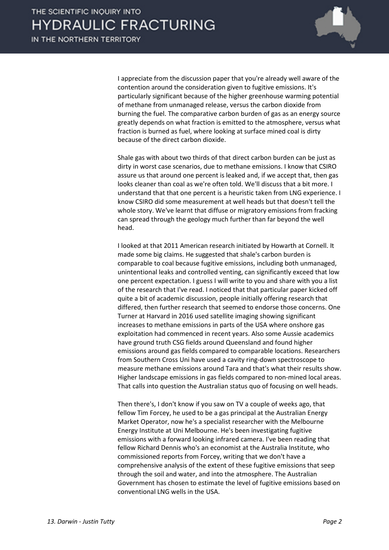

I appreciate from the discussion paper that you're already well aware of the contention around the consideration given to fugitive emissions. It's particularly significant because of the higher greenhouse warming potential of methane from unmanaged release, versus the carbon dioxide from burning the fuel. The comparative carbon burden of gas as an energy source greatly depends on what fraction is emitted to the atmosphere, versus what fraction is burned as fuel, where looking at surface mined coal is dirty because of the direct carbon dioxide.

Shale gas with about two thirds of that direct carbon burden can be just as dirty in worst case scenarios, due to methane emissions. I know that CSIRO assure us that around one percent is leaked and, if we accept that, then gas looks cleaner than coal as we're often told. We'll discuss that a bit more. I understand that that one percent is a heuristic taken from LNG experience. I know CSIRO did some measurement at well heads but that doesn't tell the whole story. We've learnt that diffuse or migratory emissions from fracking can spread through the geology much further than far beyond the well head.

I looked at that 2011 American research initiated by Howarth at Cornell. It made some big claims. He suggested that shale's carbon burden is comparable to coal because fugitive emissions, including both unmanaged, unintentional leaks and controlled venting, can significantly exceed that low one percent expectation. I guess I will write to you and share with you a list of the research that I've read. I noticed that that particular paper kicked off quite a bit of academic discussion, people initially offering research that differed, then further research that seemed to endorse those concerns. One Turner at Harvard in 2016 used satellite imaging showing significant increases to methane emissions in parts of the USA where onshore gas exploitation had commenced in recent years. Also some Aussie academics have ground truth CSG fields around Queensland and found higher emissions around gas fields compared to comparable locations. Researchers from Southern Cross Uni have used a cavity ring-down spectroscope to measure methane emissions around Tara and that's what their results show. Higher landscape emissions in gas fields compared to non-mined local areas. That calls into question the Australian status quo of focusing on well heads.

Then there's, I don't know if you saw on TV a couple of weeks ago, that fellow Tim Forcey, he used to be a gas principal at the Australian Energy Market Operator, now he's a specialist researcher with the Melbourne Energy Institute at Uni Melbourne. He's been investigating fugitive emissions with a forward looking infrared camera. I've been reading that fellow Richard Dennis who's an economist at the Australia Institute, who commissioned reports from Forcey, writing that we don't have a comprehensive analysis of the extent of these fugitive emissions that seep through the soil and water, and into the atmosphere. The Australian Government has chosen to estimate the level of fugitive emissions based on conventional LNG wells in the USA.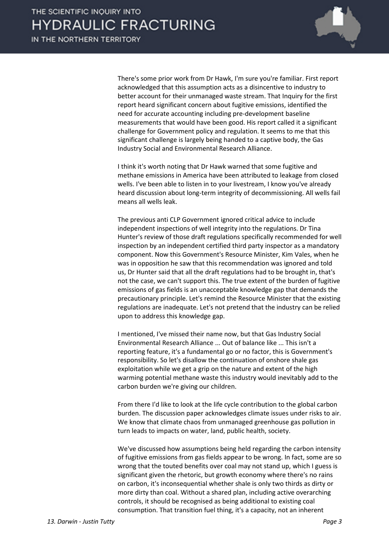

There's some prior work from Dr Hawk, I'm sure you're familiar. First report acknowledged that this assumption acts as a disincentive to industry to better account for their unmanaged waste stream. That Inquiry for the first report heard significant concern about fugitive emissions, identified the need for accurate accounting including pre-development baseline measurements that would have been good. His report called it a significant challenge for Government policy and regulation. It seems to me that this significant challenge is largely being handed to a captive body, the Gas Industry Social and Environmental Research Alliance.

I think it's worth noting that Dr Hawk warned that some fugitive and methane emissions in America have been attributed to leakage from closed wells. I've been able to listen in to your livestream, I know you've already heard discussion about long-term integrity of decommissioning. All wells fail means all wells leak.

The previous anti CLP Government ignored critical advice to include independent inspections of well integrity into the regulations. Dr Tina Hunter's review of those draft regulations specifically recommended for well inspection by an independent certified third party inspector as a mandatory component. Now this Government's Resource Minister, Kim Vales, when he was in opposition he saw that this recommendation was ignored and told us, Dr Hunter said that all the draft regulations had to be brought in, that's not the case, we can't support this. The true extent of the burden of fugitive emissions of gas fields is an unacceptable knowledge gap that demands the precautionary principle. Let's remind the Resource Minister that the existing regulations are inadequate. Let's not pretend that the industry can be relied upon to address this knowledge gap.

I mentioned, I've missed their name now, but that Gas Industry Social Environmental Research Alliance ... Out of balance like ... This isn't a reporting feature, it's a fundamental go or no factor, this is Government's responsibility. So let's disallow the continuation of onshore shale gas exploitation while we get a grip on the nature and extent of the high warming potential methane waste this industry would inevitably add to the carbon burden we're giving our children.

From there I'd like to look at the life cycle contribution to the global carbon burden. The discussion paper acknowledges climate issues under risks to air. We know that climate chaos from unmanaged greenhouse gas pollution in turn leads to impacts on water, land, public health, society.

We've discussed how assumptions being held regarding the carbon intensity of fugitive emissions from gas fields appear to be wrong. In fact, some are so wrong that the touted benefits over coal may not stand up, which I guess is significant given the rhetoric, but growth economy where there's no rains on carbon, it's inconsequential whether shale is only two thirds as dirty or more dirty than coal. Without a shared plan, including active overarching controls, it should be recognised as being additional to existing coal consumption. That transition fuel thing, it's a capacity, not an inherent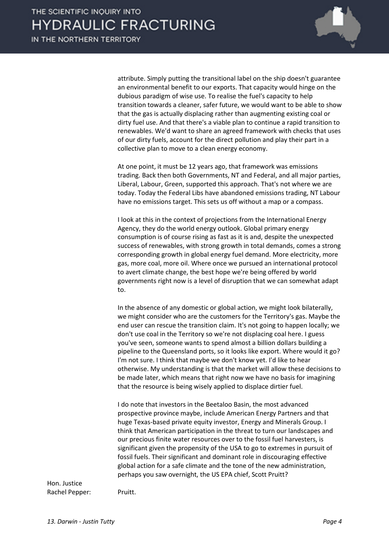

attribute. Simply putting the transitional label on the ship doesn't guarantee an environmental benefit to our exports. That capacity would hinge on the dubious paradigm of wise use. To realise the fuel's capacity to help transition towards a cleaner, safer future, we would want to be able to show that the gas is actually displacing rather than augmenting existing coal or dirty fuel use. And that there's a viable plan to continue a rapid transition to renewables. We'd want to share an agreed framework with checks that uses of our dirty fuels, account for the direct pollution and play their part in a collective plan to move to a clean energy economy.

At one point, it must be 12 years ago, that framework was emissions trading. Back then both Governments, NT and Federal, and all major parties, Liberal, Labour, Green, supported this approach. That's not where we are today. Today the Federal Libs have abandoned emissions trading, NT Labour have no emissions target. This sets us off without a map or a compass.

I look at this in the context of projections from the International Energy Agency, they do the world energy outlook. Global primary energy consumption is of course rising as fast as it is and, despite the unexpected success of renewables, with strong growth in total demands, comes a strong corresponding growth in global energy fuel demand. More electricity, more gas, more coal, more oil. Where once we pursued an international protocol to avert climate change, the best hope we're being offered by world governments right now is a level of disruption that we can somewhat adapt to.

In the absence of any domestic or global action, we might look bilaterally, we might consider who are the customers for the Territory's gas. Maybe the end user can rescue the transition claim. It's not going to happen locally; we don't use coal in the Territory so we're not displacing coal here. I guess you've seen, someone wants to spend almost a billion dollars building a pipeline to the Queensland ports, so it looks like export. Where would it go? I'm not sure. I think that maybe we don't know yet. I'd like to hear otherwise. My understanding is that the market will allow these decisions to be made later, which means that right now we have no basis for imagining that the resource is being wisely applied to displace dirtier fuel.

I do note that investors in the Beetaloo Basin, the most advanced prospective province maybe, include American Energy Partners and that huge Texas-based private equity investor, Energy and Minerals Group. I think that American participation in the threat to turn our landscapes and our precious finite water resources over to the fossil fuel harvesters, is significant given the propensity of the USA to go to extremes in pursuit of fossil fuels. Their significant and dominant role in discouraging effective global action for a safe climate and the tone of the new administration, perhaps you saw overnight, the US EPA chief, Scott Pruitt?

Hon. Justice Rachel Pepper: Pruitt.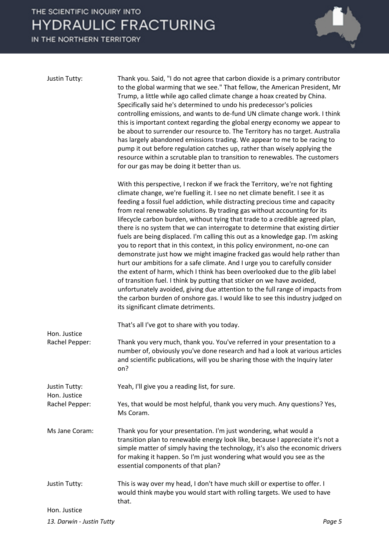

| Justin Tutty:                  | Thank you. Said, "I do not agree that carbon dioxide is a primary contributor<br>to the global warming that we see." That fellow, the American President, Mr<br>Trump, a little while ago called climate change a hoax created by China.<br>Specifically said he's determined to undo his predecessor's policies<br>controlling emissions, and wants to de-fund UN climate change work. I think<br>this is important context regarding the global energy economy we appear to<br>be about to surrender our resource to. The Territory has no target. Australia<br>has largely abandoned emissions trading. We appear to me to be racing to<br>pump it out before regulation catches up, rather than wisely applying the<br>resource within a scrutable plan to transition to renewables. The customers<br>for our gas may be doing it better than us.                                                                                                                                                                                                                                                                                                                                     |
|--------------------------------|-------------------------------------------------------------------------------------------------------------------------------------------------------------------------------------------------------------------------------------------------------------------------------------------------------------------------------------------------------------------------------------------------------------------------------------------------------------------------------------------------------------------------------------------------------------------------------------------------------------------------------------------------------------------------------------------------------------------------------------------------------------------------------------------------------------------------------------------------------------------------------------------------------------------------------------------------------------------------------------------------------------------------------------------------------------------------------------------------------------------------------------------------------------------------------------------|
|                                | With this perspective, I reckon if we frack the Territory, we're not fighting<br>climate change, we're fuelling it. I see no net climate benefit. I see it as<br>feeding a fossil fuel addiction, while distracting precious time and capacity<br>from real renewable solutions. By trading gas without accounting for its<br>lifecycle carbon burden, without tying that trade to a credible agreed plan,<br>there is no system that we can interrogate to determine that existing dirtier<br>fuels are being displaced. I'm calling this out as a knowledge gap. I'm asking<br>you to report that in this context, in this policy environment, no-one can<br>demonstrate just how we might imagine fracked gas would help rather than<br>hurt our ambitions for a safe climate. And I urge you to carefully consider<br>the extent of harm, which I think has been overlooked due to the glib label<br>of transition fuel. I think by putting that sticker on we have avoided,<br>unfortunately avoided, giving due attention to the full range of impacts from<br>the carbon burden of onshore gas. I would like to see this industry judged on<br>its significant climate detriments. |
| Hon. Justice                   | That's all I've got to share with you today.                                                                                                                                                                                                                                                                                                                                                                                                                                                                                                                                                                                                                                                                                                                                                                                                                                                                                                                                                                                                                                                                                                                                              |
| Rachel Pepper:                 | Thank you very much, thank you. You've referred in your presentation to a<br>number of, obviously you've done research and had a look at various articles<br>and scientific publications, will you be sharing those with the Inquiry later<br>on?                                                                                                                                                                                                                                                                                                                                                                                                                                                                                                                                                                                                                                                                                                                                                                                                                                                                                                                                         |
| Justin Tutty:                  | Yeah, I'll give you a reading list, for sure.                                                                                                                                                                                                                                                                                                                                                                                                                                                                                                                                                                                                                                                                                                                                                                                                                                                                                                                                                                                                                                                                                                                                             |
| Hon. Justice<br>Rachel Pepper: | Yes, that would be most helpful, thank you very much. Any questions? Yes,<br>Ms Coram.                                                                                                                                                                                                                                                                                                                                                                                                                                                                                                                                                                                                                                                                                                                                                                                                                                                                                                                                                                                                                                                                                                    |
| Ms Jane Coram:                 | Thank you for your presentation. I'm just wondering, what would a<br>transition plan to renewable energy look like, because I appreciate it's not a<br>simple matter of simply having the technology, it's also the economic drivers<br>for making it happen. So I'm just wondering what would you see as the<br>essential components of that plan?                                                                                                                                                                                                                                                                                                                                                                                                                                                                                                                                                                                                                                                                                                                                                                                                                                       |
| Justin Tutty:                  | This is way over my head, I don't have much skill or expertise to offer. I<br>would think maybe you would start with rolling targets. We used to have<br>that.                                                                                                                                                                                                                                                                                                                                                                                                                                                                                                                                                                                                                                                                                                                                                                                                                                                                                                                                                                                                                            |
| Hon. Justice                   |                                                                                                                                                                                                                                                                                                                                                                                                                                                                                                                                                                                                                                                                                                                                                                                                                                                                                                                                                                                                                                                                                                                                                                                           |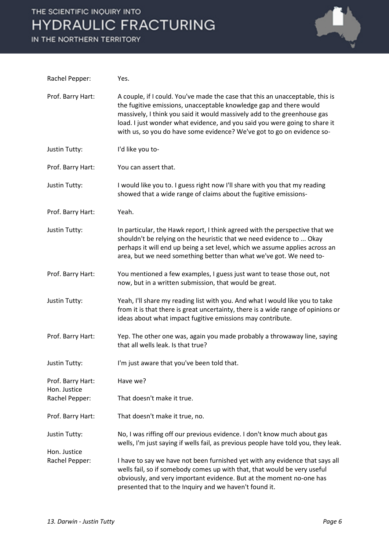

| Rachel Pepper:                    | Yes.                                                                                                                                                                                                                                                                                                                                                                                    |
|-----------------------------------|-----------------------------------------------------------------------------------------------------------------------------------------------------------------------------------------------------------------------------------------------------------------------------------------------------------------------------------------------------------------------------------------|
| Prof. Barry Hart:                 | A couple, if I could. You've made the case that this an unacceptable, this is<br>the fugitive emissions, unacceptable knowledge gap and there would<br>massively, I think you said it would massively add to the greenhouse gas<br>load. I just wonder what evidence, and you said you were going to share it<br>with us, so you do have some evidence? We've got to go on evidence so- |
| Justin Tutty:                     | I'd like you to-                                                                                                                                                                                                                                                                                                                                                                        |
| Prof. Barry Hart:                 | You can assert that.                                                                                                                                                                                                                                                                                                                                                                    |
| Justin Tutty:                     | I would like you to. I guess right now I'll share with you that my reading<br>showed that a wide range of claims about the fugitive emissions-                                                                                                                                                                                                                                          |
| Prof. Barry Hart:                 | Yeah.                                                                                                                                                                                                                                                                                                                                                                                   |
| <b>Justin Tutty:</b>              | In particular, the Hawk report, I think agreed with the perspective that we<br>shouldn't be relying on the heuristic that we need evidence to  Okay<br>perhaps it will end up being a set level, which we assume applies across an<br>area, but we need something better than what we've got. We need to-                                                                               |
| Prof. Barry Hart:                 | You mentioned a few examples, I guess just want to tease those out, not<br>now, but in a written submission, that would be great.                                                                                                                                                                                                                                                       |
| <b>Justin Tutty:</b>              | Yeah, I'll share my reading list with you. And what I would like you to take<br>from it is that there is great uncertainty, there is a wide range of opinions or<br>ideas about what impact fugitive emissions may contribute.                                                                                                                                                          |
| Prof. Barry Hart:                 | Yep. The other one was, again you made probably a throwaway line, saying<br>that all wells leak. Is that true?                                                                                                                                                                                                                                                                          |
| Justin Tutty:                     | I'm just aware that you've been told that.                                                                                                                                                                                                                                                                                                                                              |
| Prof. Barry Hart:<br>Hon. Justice | Have we?                                                                                                                                                                                                                                                                                                                                                                                |
| Rachel Pepper:                    | That doesn't make it true.                                                                                                                                                                                                                                                                                                                                                              |
| Prof. Barry Hart:                 | That doesn't make it true, no.                                                                                                                                                                                                                                                                                                                                                          |
| Justin Tutty:                     | No, I was riffing off our previous evidence. I don't know much about gas<br>wells, I'm just saying if wells fail, as previous people have told you, they leak.                                                                                                                                                                                                                          |
| Hon. Justice                      |                                                                                                                                                                                                                                                                                                                                                                                         |
| Rachel Pepper:                    | I have to say we have not been furnished yet with any evidence that says all<br>wells fail, so if somebody comes up with that, that would be very useful<br>obviously, and very important evidence. But at the moment no-one has<br>presented that to the Inquiry and we haven't found it.                                                                                              |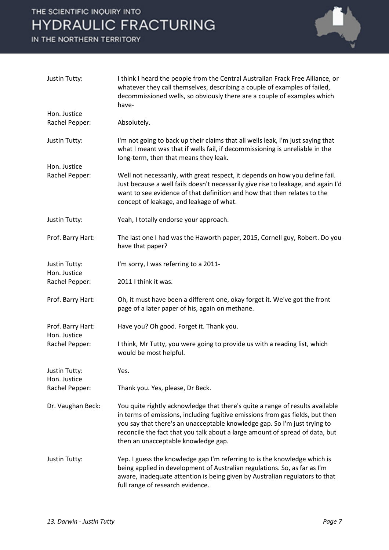

| Justin Tutty:                        | I think I heard the people from the Central Australian Frack Free Alliance, or<br>whatever they call themselves, describing a couple of examples of failed,<br>decommissioned wells, so obviously there are a couple of examples which<br>have-                                                                                                                    |
|--------------------------------------|--------------------------------------------------------------------------------------------------------------------------------------------------------------------------------------------------------------------------------------------------------------------------------------------------------------------------------------------------------------------|
| Hon. Justice                         |                                                                                                                                                                                                                                                                                                                                                                    |
| Rachel Pepper:                       | Absolutely.                                                                                                                                                                                                                                                                                                                                                        |
| <b>Justin Tutty:</b>                 | I'm not going to back up their claims that all wells leak, I'm just saying that<br>what I meant was that if wells fail, if decommissioning is unreliable in the<br>long-term, then that means they leak.                                                                                                                                                           |
| Hon. Justice                         |                                                                                                                                                                                                                                                                                                                                                                    |
| Rachel Pepper:                       | Well not necessarily, with great respect, it depends on how you define fail.<br>Just because a well fails doesn't necessarily give rise to leakage, and again I'd<br>want to see evidence of that definition and how that then relates to the<br>concept of leakage, and leakage of what.                                                                          |
| <b>Justin Tutty:</b>                 | Yeah, I totally endorse your approach.                                                                                                                                                                                                                                                                                                                             |
| Prof. Barry Hart:                    | The last one I had was the Haworth paper, 2015, Cornell guy, Robert. Do you<br>have that paper?                                                                                                                                                                                                                                                                    |
| <b>Justin Tutty:</b><br>Hon. Justice | I'm sorry, I was referring to a 2011-                                                                                                                                                                                                                                                                                                                              |
| Rachel Pepper:                       | 2011 I think it was.                                                                                                                                                                                                                                                                                                                                               |
| Prof. Barry Hart:                    | Oh, it must have been a different one, okay forget it. We've got the front<br>page of a later paper of his, again on methane.                                                                                                                                                                                                                                      |
| Prof. Barry Hart:                    | Have you? Oh good. Forget it. Thank you.                                                                                                                                                                                                                                                                                                                           |
| Hon. Justice<br>Rachel Pepper:       | I think, Mr Tutty, you were going to provide us with a reading list, which<br>would be most helpful.                                                                                                                                                                                                                                                               |
| <b>Justin Tutty:</b>                 | Yes.                                                                                                                                                                                                                                                                                                                                                               |
| Hon. Justice<br>Rachel Pepper:       | Thank you. Yes, please, Dr Beck.                                                                                                                                                                                                                                                                                                                                   |
| Dr. Vaughan Beck:                    | You quite rightly acknowledge that there's quite a range of results available<br>in terms of emissions, including fugitive emissions from gas fields, but then<br>you say that there's an unacceptable knowledge gap. So I'm just trying to<br>reconcile the fact that you talk about a large amount of spread of data, but<br>then an unacceptable knowledge gap. |
| <b>Justin Tutty:</b>                 | Yep. I guess the knowledge gap I'm referring to is the knowledge which is<br>being applied in development of Australian regulations. So, as far as I'm<br>aware, inadequate attention is being given by Australian regulators to that<br>full range of research evidence.                                                                                          |